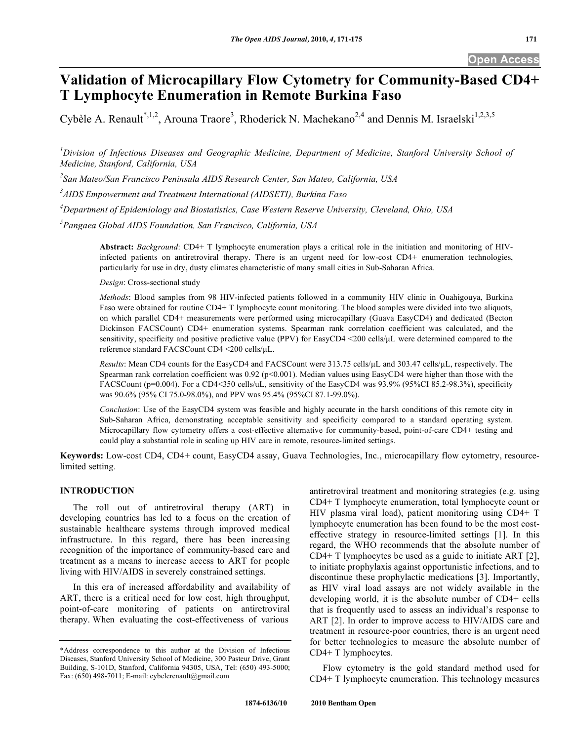# **Validation of Microcapillary Flow Cytometry for Community-Based CD4+ T Lymphocyte Enumeration in Remote Burkina Faso**

Cybèle A. Renault<sup>\*,1,2</sup>, Arouna Traore<sup>3</sup>, Rhoderick N. Machekano<sup>2,4</sup> and Dennis M. Israelski<sup>1,2,3,5</sup>

<sup>1</sup> Division of Infectious Diseases and Geographic Medicine, Department of Medicine, Stanford University School of *Medicine, Stanford, California, USA* 

*2 San Mateo/San Francisco Peninsula AIDS Research Center, San Mateo, California, USA* 

*3 AIDS Empowerment and Treatment International (AIDSETI), Burkina Faso* 

*4 Department of Epidemiology and Biostatistics, Case Western Reserve University, Cleveland, Ohio, USA* 

*5 Pangaea Global AIDS Foundation, San Francisco, California, USA* 

**Abstract:** *Background*: CD4+ T lymphocyte enumeration plays a critical role in the initiation and monitoring of HIVinfected patients on antiretroviral therapy. There is an urgent need for low-cost CD4+ enumeration technologies, particularly for use in dry, dusty climates characteristic of many small cities in Sub-Saharan Africa.

*Design*: Cross-sectional study

*Methods*: Blood samples from 98 HIV-infected patients followed in a community HIV clinic in Ouahigouya, Burkina Faso were obtained for routine CD4+ T lymphocyte count monitoring. The blood samples were divided into two aliquots, on which parallel CD4+ measurements were performed using microcapillary (Guava EasyCD4) and dedicated (Becton Dickinson FACSCount) CD4+ enumeration systems. Spearman rank correlation coefficient was calculated, and the sensitivity, specificity and positive predictive value (PPV) for EasyCD4 <200 cells/µL were determined compared to the reference standard FACSCount CD4 <200 cells/L.

*Results*: Mean CD4 counts for the EasyCD4 and FACSCount were 313.75 cells/uL and 303.47 cells/uL, respectively. The Spearman rank correlation coefficient was  $0.92$  (p<0.001). Median values using EasyCD4 were higher than those with the FACSCount (p=0.004). For a CD4<350 cells/uL, sensitivity of the EasyCD4 was 93.9% (95%CI 85.2-98.3%), specificity was 90.6% (95% CI 75.0-98.0%), and PPV was 95.4% (95%CI 87.1-99.0%).

*Conclusion*: Use of the EasyCD4 system was feasible and highly accurate in the harsh conditions of this remote city in Sub-Saharan Africa, demonstrating acceptable sensitivity and specificity compared to a standard operating system. Microcapillary flow cytometry offers a cost-effective alternative for community-based, point-of-care CD4+ testing and could play a substantial role in scaling up HIV care in remote, resource-limited settings.

**Keywords:** Low-cost CD4, CD4+ count, EasyCD4 assay, Guava Technologies, Inc., microcapillary flow cytometry, resourcelimited setting.

# **INTRODUCTION**

 The roll out of antiretroviral therapy (ART) in developing countries has led to a focus on the creation of sustainable healthcare systems through improved medical infrastructure. In this regard, there has been increasing recognition of the importance of community-based care and treatment as a means to increase access to ART for people living with HIV/AIDS in severely constrained settings.

 In this era of increased affordability and availability of ART, there is a critical need for low cost, high throughput, point-of-care monitoring of patients on antiretroviral therapy. When evaluating the cost-effectiveness of various

antiretroviral treatment and monitoring strategies (e.g. using CD4+ T lymphocyte enumeration, total lymphocyte count or HIV plasma viral load), patient monitoring using CD4+ T lymphocyte enumeration has been found to be the most costeffective strategy in resource-limited settings [1]. In this regard, the WHO recommends that the absolute number of CD4+ T lymphocytes be used as a guide to initiate ART [2], to initiate prophylaxis against opportunistic infections, and to discontinue these prophylactic medications [3]. Importantly, as HIV viral load assays are not widely available in the developing world, it is the absolute number of CD4+ cells that is frequently used to assess an individual's response to ART [2]. In order to improve access to HIV/AIDS care and treatment in resource-poor countries, there is an urgent need for better technologies to measure the absolute number of CD4+ T lymphocytes.

 Flow cytometry is the gold standard method used for CD4+ T lymphocyte enumeration. This technology measures

<sup>\*</sup>Address correspondence to this author at the Division of Infectious Diseases, Stanford University School of Medicine, 300 Pasteur Drive, Grant Building, S-101D, Stanford, California 94305, USA, Tel: (650) 493-5000; Fax: (650) 498-7011; E-mail: cybelerenault@gmail.com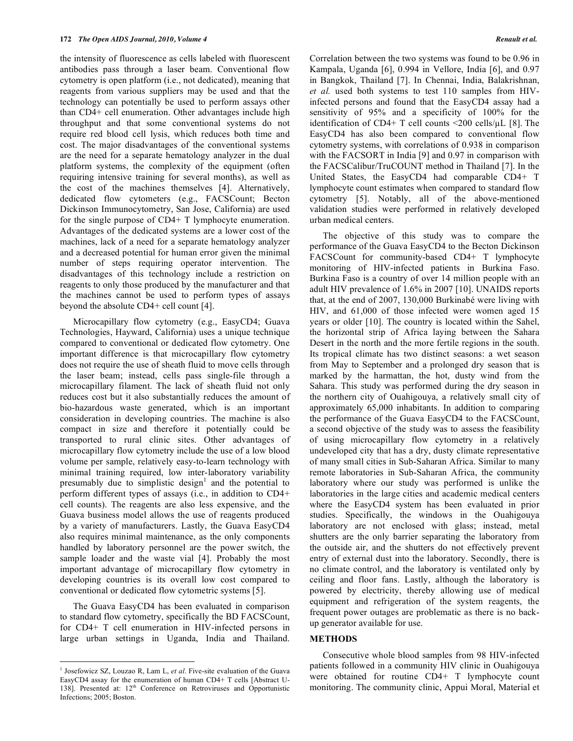the intensity of fluorescence as cells labeled with fluorescent antibodies pass through a laser beam. Conventional flow cytometry is open platform (i.e., not dedicated), meaning that reagents from various suppliers may be used and that the technology can potentially be used to perform assays other than CD4+ cell enumeration. Other advantages include high throughput and that some conventional systems do not require red blood cell lysis, which reduces both time and cost. The major disadvantages of the conventional systems are the need for a separate hematology analyzer in the dual platform systems, the complexity of the equipment (often requiring intensive training for several months), as well as the cost of the machines themselves [4]. Alternatively, dedicated flow cytometers (e.g., FACSCount; Becton Dickinson Immunocytometry, San Jose, California) are used for the single purpose of CD4+ T lymphocyte enumeration. Advantages of the dedicated systems are a lower cost of the machines, lack of a need for a separate hematology analyzer and a decreased potential for human error given the minimal number of steps requiring operator intervention. The disadvantages of this technology include a restriction on reagents to only those produced by the manufacturer and that the machines cannot be used to perform types of assays beyond the absolute CD4+ cell count [4].

 Microcapillary flow cytometry (e.g., EasyCD4; Guava Technologies, Hayward, California) uses a unique technique compared to conventional or dedicated flow cytometry. One important difference is that microcapillary flow cytometry does not require the use of sheath fluid to move cells through the laser beam; instead, cells pass single-file through a microcapillary filament. The lack of sheath fluid not only reduces cost but it also substantially reduces the amount of bio-hazardous waste generated, which is an important consideration in developing countries. The machine is also compact in size and therefore it potentially could be transported to rural clinic sites. Other advantages of microcapillary flow cytometry include the use of a low blood volume per sample, relatively easy-to-learn technology with minimal training required, low inter-laboratory variability presumably due to simplistic design<sup>1</sup> and the potential to perform different types of assays (i.e., in addition to CD4+ cell counts). The reagents are also less expensive, and the Guava business model allows the use of reagents produced by a variety of manufacturers. Lastly, the Guava EasyCD4 also requires minimal maintenance, as the only components handled by laboratory personnel are the power switch, the sample loader and the waste vial [4]. Probably the most important advantage of microcapillary flow cytometry in developing countries is its overall low cost compared to conventional or dedicated flow cytometric systems [5].

 The Guava EasyCD4 has been evaluated in comparison to standard flow cytometry, specifically the BD FACSCount, for CD4+ T cell enumeration in HIV-infected persons in large urban settings in Uganda, India and Thailand.

<u>.</u>

Correlation between the two systems was found to be 0.96 in Kampala, Uganda [6], 0.994 in Vellore, India [6], and 0.97 in Bangkok, Thailand [7]. In Chennai, India, Balakrishnan, *et al.* used both systems to test 110 samples from HIVinfected persons and found that the EasyCD4 assay had a sensitivity of 95% and a specificity of 100% for the identification of CD4+ T cell counts  $\langle 200 \text{ cells/}\mu L \rangle$  [8]. The EasyCD4 has also been compared to conventional flow cytometry systems, with correlations of 0.938 in comparison with the FACSORT in India [9] and 0.97 in comparison with the FACSCalibur/TruCOUNT method in Thailand [7]. In the United States, the EasyCD4 had comparable CD4+ T lymphocyte count estimates when compared to standard flow cytometry [5]. Notably, all of the above-mentioned validation studies were performed in relatively developed urban medical centers.

 The objective of this study was to compare the performance of the Guava EasyCD4 to the Becton Dickinson FACSCount for community-based CD4+ T lymphocyte monitoring of HIV-infected patients in Burkina Faso. Burkina Faso is a country of over 14 million people with an adult HIV prevalence of 1.6% in 2007 [10]. UNAIDS reports that, at the end of 2007, 130,000 Burkinabé were living with HIV, and 61,000 of those infected were women aged 15 years or older [10]. The country is located within the Sahel, the horizontal strip of Africa laying between the Sahara Desert in the north and the more fertile regions in the south. Its tropical climate has two distinct seasons: a wet season from May to September and a prolonged dry season that is marked by the harmattan, the hot, dusty wind from the Sahara. This study was performed during the dry season in the northern city of Ouahigouya, a relatively small city of approximately 65,000 inhabitants. In addition to comparing the performance of the Guava EasyCD4 to the FACSCount, a second objective of the study was to assess the feasibility of using microcapillary flow cytometry in a relatively undeveloped city that has a dry, dusty climate representative of many small cities in Sub-Saharan Africa. Similar to many remote laboratories in Sub-Saharan Africa, the community laboratory where our study was performed is unlike the laboratories in the large cities and academic medical centers where the EasyCD4 system has been evaluated in prior studies. Specifically, the windows in the Ouahigouya laboratory are not enclosed with glass; instead, metal shutters are the only barrier separating the laboratory from the outside air, and the shutters do not effectively prevent entry of external dust into the laboratory. Secondly, there is no climate control, and the laboratory is ventilated only by ceiling and floor fans. Lastly, although the laboratory is powered by electricity, thereby allowing use of medical equipment and refrigeration of the system reagents, the frequent power outages are problematic as there is no backup generator available for use.

#### **METHODS**

 Consecutive whole blood samples from 98 HIV-infected patients followed in a community HIV clinic in Ouahigouya were obtained for routine CD4+ T lymphocyte count monitoring. The community clinic, Appui Moral, Material et

<sup>&</sup>lt;sup>1</sup> Josefowicz SZ, Louzao R, Lam L, et al. Five-site evaluation of the Guava EasyCD4 assay for the enumeration of human CD4+ T cells [Abstract U-138]. Presented at: 12<sup>th</sup> Conference on Retroviruses and Opportunistic Infections; 2005; Boston.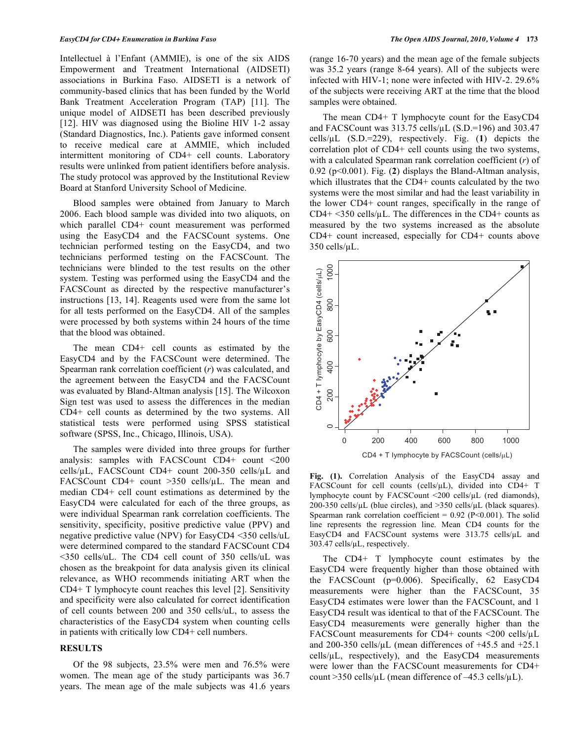Intellectuel à l'Enfant (AMMIE), is one of the six AIDS Empowerment and Treatment International (AIDSETI) associations in Burkina Faso. AIDSETI is a network of community-based clinics that has been funded by the World Bank Treatment Acceleration Program (TAP) [11]. The unique model of AIDSETI has been described previously [12]. HIV was diagnosed using the Bioline HIV 1-2 assay (Standard Diagnostics, Inc.). Patients gave informed consent to receive medical care at AMMIE, which included intermittent monitoring of CD4+ cell counts. Laboratory results were unlinked from patient identifiers before analysis. The study protocol was approved by the Institutional Review Board at Stanford University School of Medicine.

 Blood samples were obtained from January to March 2006. Each blood sample was divided into two aliquots, on which parallel CD4+ count measurement was performed using the EasyCD4 and the FACSCount systems. One technician performed testing on the EasyCD4, and two technicians performed testing on the FACSCount. The technicians were blinded to the test results on the other system. Testing was performed using the EasyCD4 and the FACSCount as directed by the respective manufacturer's instructions [13, 14]. Reagents used were from the same lot for all tests performed on the EasyCD4. All of the samples were processed by both systems within 24 hours of the time that the blood was obtained.

 The mean CD4+ cell counts as estimated by the EasyCD4 and by the FACSCount were determined. The Spearman rank correlation coefficient (*r*) was calculated, and the agreement between the EasyCD4 and the FACSCount was evaluated by Bland-Altman analysis [15]. The Wilcoxon Sign test was used to assess the differences in the median CD4+ cell counts as determined by the two systems. All statistical tests were performed using SPSS statistical software (SPSS, Inc., Chicago, Illinois, USA).

 The samples were divided into three groups for further analysis: samples with FACSCount CD4+ count <200 cells/ $\mu$ L, FACSCount CD4+ count 200-350 cells/ $\mu$ L and FACSCount CD4+ count  $>350$  cells/ $\mu$ L. The mean and median CD4+ cell count estimations as determined by the EasyCD4 were calculated for each of the three groups, as were individual Spearman rank correlation coefficients. The sensitivity, specificity, positive predictive value (PPV) and negative predictive value (NPV) for EasyCD4 <350 cells/uL were determined compared to the standard FACSCount CD4 <350 cells/uL. The CD4 cell count of 350 cells/uL was chosen as the breakpoint for data analysis given its clinical relevance, as WHO recommends initiating ART when the CD4+ T lymphocyte count reaches this level [2]. Sensitivity and specificity were also calculated for correct identification of cell counts between 200 and 350 cells/uL, to assess the characteristics of the EasyCD4 system when counting cells in patients with critically low CD4+ cell numbers.

# **RESULTS**

 Of the 98 subjects, 23.5% were men and 76.5% were women. The mean age of the study participants was 36.7 years. The mean age of the male subjects was 41.6 years (range 16-70 years) and the mean age of the female subjects was 35.2 years (range 8-64 years). All of the subjects were infected with HIV-1; none were infected with HIV-2. 29.6% of the subjects were receiving ART at the time that the blood samples were obtained.

 The mean CD4+ T lymphocyte count for the EasyCD4 and FACSCount was  $313.75$  cells/ $\mu$ L (S.D.=196) and 303.47 cells/L (S.D.=229), respectively. Fig. (**1**) depicts the correlation plot of CD4+ cell counts using the two systems, with a calculated Spearman rank correlation coefficient (*r*) of 0.92 (p<0.001). Fig. (**2**) displays the Bland-Altman analysis, which illustrates that the CD4+ counts calculated by the two systems were the most similar and had the least variability in the lower CD4+ count ranges, specifically in the range of CD4+  $\leq$ 350 cells/ $\mu$ L. The differences in the CD4+ counts as measured by the two systems increased as the absolute CD4+ count increased, especially for CD4+ counts above  $350$  cells/ $\mu$ L.



**Fig. (1).** Correlation Analysis of the EasyCD4 assay and FACSCount for cell counts (cells/ $\mu$ L), divided into CD4+ T lymphocyte count by FACSCount  $\langle 200 \text{ cells/}\mu\text{L} \rangle$  (red diamonds),  $200-350$  cells/ $\mu$ L (blue circles), and  $>350$  cells/ $\mu$ L (black squares). Spearman rank correlation coefficient =  $0.92$  (P<0.001). The solid line represents the regression line. Mean CD4 counts for the EasyCD4 and FACSCount systems were 313.75 cells/µL and 303.47 cells/ $\mu$ L, respectively.

 The CD4+ T lymphocyte count estimates by the EasyCD4 were frequently higher than those obtained with the FACSCount (p=0.006). Specifically, 62 EasyCD4 measurements were higher than the FACSCount, 35 EasyCD4 estimates were lower than the FACSCount, and 1 EasyCD4 result was identical to that of the FACSCount. The EasyCD4 measurements were generally higher than the FACSCount measurements for CD4+ counts  $\langle 200 \text{ cells/µL} \rangle$ and 200-350 cells/ $\mu$ L (mean differences of +45.5 and +25.1  $cells/µL$ , respectively), and the EasyCD4 measurements were lower than the FACSCount measurements for CD4+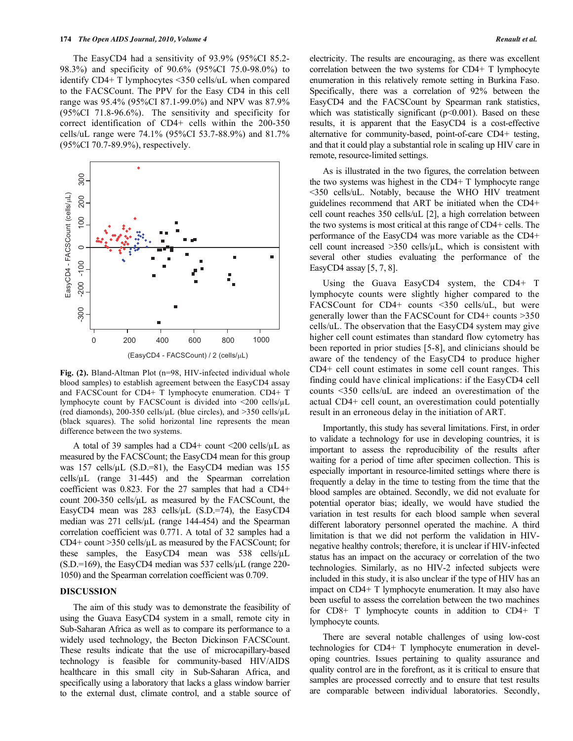The EasyCD4 had a sensitivity of 93.9% (95%CI 85.2- 98.3%) and specificity of 90.6% (95%CI 75.0-98.0%) to identify CD4+ T lymphocytes <350 cells/uL when compared to the FACSCount. The PPV for the Easy CD4 in this cell range was 95.4% (95%CI 87.1-99.0%) and NPV was 87.9% (95%CI 71.8-96.6%). The sensitivity and specificity for correct identification of CD4+ cells within the 200-350 cells/uL range were 74.1% (95%CI 53.7-88.9%) and 81.7% (95%CI 70.7-89.9%), respectively.



**Fig. (2).** Bland-Altman Plot (n=98, HIV-infected individual whole blood samples) to establish agreement between the EasyCD4 assay and FACSCount for CD4+ T lymphocyte enumeration. CD4+ T lymphocyte count by FACSCount is divided into <200 cells/ $\mu$ L (red diamonds), 200-350 cells/ $\mu$ L (blue circles), and >350 cells/ $\mu$ L (black squares). The solid horizontal line represents the mean difference between the two systems.

A total of 39 samples had a CD4+ count  $\langle 200 \text{ cells/}\mu L \text{ as }$ measured by the FACSCount; the EasyCD4 mean for this group was 157 cells/ $\mu$ L (S.D.=81), the EasyCD4 median was 155 cells/ $\mu$ L (range 31-445) and the Spearman correlation coefficient was 0.823. For the 27 samples that had a CD4+ count  $200-350$  cells/ $\mu$ L as measured by the FACSCount, the EasyCD4 mean was  $283$  cells/ $\mu$ L (S.D.=74), the EasyCD4 median was  $271$  cells/ $\mu$ L (range 144-454) and the Spearman correlation coefficient was 0.771. A total of 32 samples had a  $CD4+$  count  $>350$  cells/ $\mu$ L as measured by the FACSCount; for these samples, the EasyCD4 mean was  $538$  cells/ $\mu$ L  $(S.D.=169)$ , the EasyCD4 median was 537 cells/ $\mu$ L (range 220-1050) and the Spearman correlation coefficient was 0.709.

# **DISCUSSION**

 The aim of this study was to demonstrate the feasibility of using the Guava EasyCD4 system in a small, remote city in Sub-Saharan Africa as well as to compare its performance to a widely used technology, the Becton Dickinson FACSCount. These results indicate that the use of microcapillary-based technology is feasible for community-based HIV/AIDS healthcare in this small city in Sub-Saharan Africa, and specifically using a laboratory that lacks a glass window barrier to the external dust, climate control, and a stable source of

electricity. The results are encouraging, as there was excellent correlation between the two systems for CD4+ T lymphocyte enumeration in this relatively remote setting in Burkina Faso. Specifically, there was a correlation of 92% between the EasyCD4 and the FACSCount by Spearman rank statistics, which was statistically significant  $(p<0.001)$ . Based on these results, it is apparent that the EasyCD4 is a cost-effective alternative for community-based, point-of-care CD4+ testing, and that it could play a substantial role in scaling up HIV care in remote, resource-limited settings.

 As is illustrated in the two figures, the correlation between the two systems was highest in the CD4+ T lymphocyte range <350 cells/uL. Notably, because the WHO HIV treatment guidelines recommend that ART be initiated when the CD4+ cell count reaches 350 cells/uL [2], a high correlation between the two systems is most critical at this range of CD4+ cells. The performance of the EasyCD4 was more variable as the CD4+ cell count increased  $>350$  cells/ $\mu$ L, which is consistent with several other studies evaluating the performance of the EasyCD4 assay [5, 7, 8].

 Using the Guava EasyCD4 system, the CD4+ T lymphocyte counts were slightly higher compared to the FACSCount for CD4+ counts <350 cells/uL, but were generally lower than the FACSCount for CD4+ counts >350 cells/uL. The observation that the EasyCD4 system may give higher cell count estimates than standard flow cytometry has been reported in prior studies [5-8], and clinicians should be aware of the tendency of the EasyCD4 to produce higher CD4+ cell count estimates in some cell count ranges. This finding could have clinical implications: if the EasyCD4 cell counts <350 cells/uL are indeed an overestimation of the actual CD4+ cell count, an overestimation could potentially result in an erroneous delay in the initiation of ART.

 Importantly, this study has several limitations. First, in order to validate a technology for use in developing countries, it is important to assess the reproducibility of the results after waiting for a period of time after specimen collection. This is especially important in resource-limited settings where there is frequently a delay in the time to testing from the time that the blood samples are obtained. Secondly, we did not evaluate for potential operator bias; ideally, we would have studied the variation in test results for each blood sample when several different laboratory personnel operated the machine. A third limitation is that we did not perform the validation in HIVnegative healthy controls; therefore, it is unclear if HIV-infected status has an impact on the accuracy or correlation of the two technologies. Similarly, as no HIV-2 infected subjects were included in this study, it is also unclear if the type of HIV has an impact on CD4+ T lymphocyte enumeration. It may also have been useful to assess the correlation between the two machines for CD8+ T lymphocyte counts in addition to CD4+ T lymphocyte counts.

 There are several notable challenges of using low-cost technologies for CD4+ T lymphocyte enumeration in developing countries. Issues pertaining to quality assurance and quality control are in the forefront, as it is critical to ensure that samples are processed correctly and to ensure that test results are comparable between individual laboratories. Secondly,